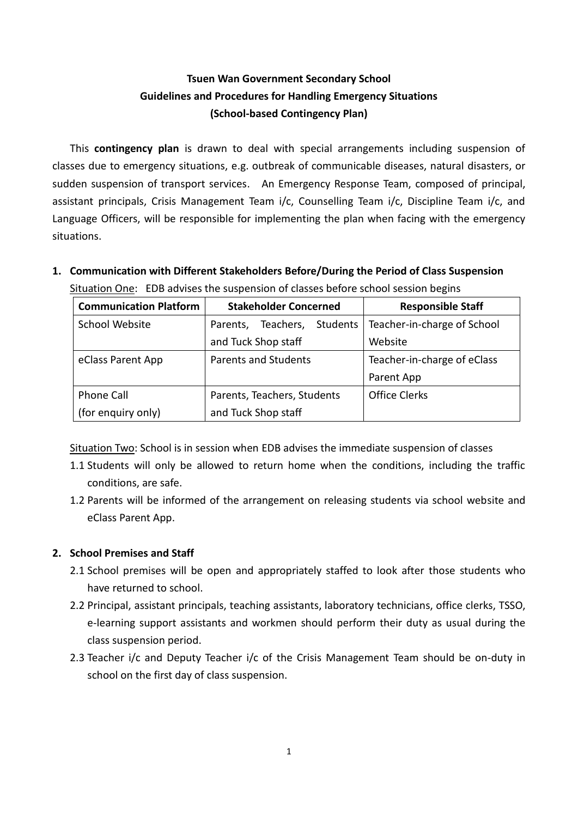# **Tsuen Wan Government Secondary School Guidelines and Procedures for Handling Emergency Situations (School-based Contingency Plan)**

This **contingency plan** is drawn to deal with special arrangements including suspension of classes due to emergency situations, e.g. outbreak of communicable diseases, natural disasters, or sudden suspension of transport services. An Emergency Response Team, composed of principal, assistant principals, Crisis Management Team i/c, Counselling Team i/c, Discipline Team i/c, and Language Officers, will be responsible for implementing the plan when facing with the emergency situations.

**1. Communication with Different Stakeholders Before/During the Period of Class Suspension** Situation One: EDB advises the suspension of classes before school session begins

| <b>Communication Platform</b> | <b>Stakeholder Concerned</b>             | <b>Responsible Staff</b>    |
|-------------------------------|------------------------------------------|-----------------------------|
| School Website                | <b>Students</b><br>Teachers,<br>Parents, | Teacher-in-charge of School |
|                               | and Tuck Shop staff                      | Website                     |
| eClass Parent App             | <b>Parents and Students</b>              | Teacher-in-charge of eClass |
|                               |                                          | Parent App                  |
| <b>Phone Call</b>             | Parents, Teachers, Students              | <b>Office Clerks</b>        |
| (for enguiry only)            | and Tuck Shop staff                      |                             |

Situation Two: School is in session when EDB advises the immediate suspension of classes

- 1.1 Students will only be allowed to return home when the conditions, including the traffic conditions, are safe.
- 1.2 Parents will be informed of the arrangement on releasing students via school website and eClass Parent App.

# **2. School Premises and Staff**

- 2.1 School premises will be open and appropriately staffed to look after those students who have returned to school.
- 2.2 Principal, assistant principals, teaching assistants, laboratory technicians, office clerks, TSSO, e-learning support assistants and workmen should perform their duty as usual during the class suspension period.
- 2.3 Teacher i/c and Deputy Teacher i/c of the Crisis Management Team should be on-duty in school on the first day of class suspension.